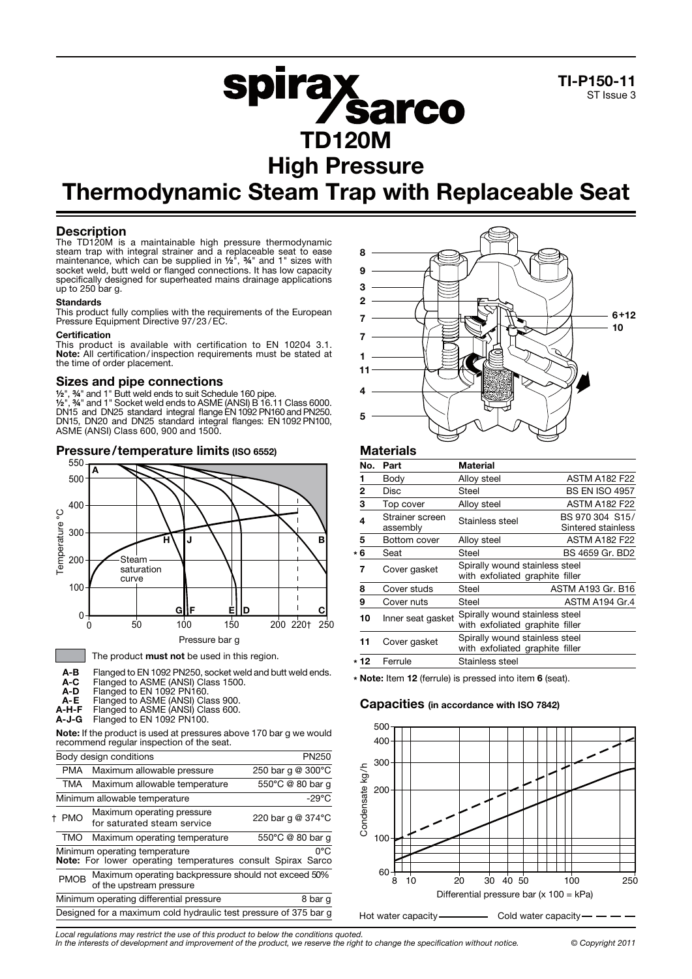

# **spirax<br>ED120M** High Pressure

## Thermodynamic Steam Trap with Replaceable Seat

#### **Description**

The TD120M is a maintainable high pressure thermodynamic steam trap with integral strainer and a replaceable seat to ease maintenance, which can be supplied in ½", ¾" and 1" sizes with socket weld, butt weld or flanged connections. It has low capacity specifically designed for superheated mains drainage applications up to 250 bar g.

#### **Standards**

This product fully complies with the requirements of the European Pressure Equipment Directive 97/23/EC.

#### **Certification**

This product is available with certification to EN 10204 3.1. Note: All certification/ inspection requirements must be stated at the time of order placement.

#### Sizes and pipe connections

½", ¾" and 1" Butt weld ends to suit Schedule 160 pipe.

½", ¾" and 1" Socket weld ends to ASME (ANSI) B 16.11 Class 6000. DN15 and DN25 standard integral flange EN 1092 PN160 and PN250. DN15, DN20 and DN25 standard integral flanges: EN 1092 PN100, ASME (ANSI) Class 600, 900 and 1500.





Note: If the product is used at pressures above 170 bar g we would recommend regular inspection of the seat.

|             | Body design conditions                                                                       | PN250             |
|-------------|----------------------------------------------------------------------------------------------|-------------------|
| PMA         | Maximum allowable pressure                                                                   | 250 bar g @ 300°C |
| TMA         | Maximum allowable temperature                                                                | 550°C @ 80 bar q  |
|             | Minimum allowable temperature                                                                | $-29^{\circ}$ C   |
| t PMO       | Maximum operating pressure<br>for saturated steam service                                    | 220 bar q @ 374°C |
| TMO         | Maximum operating temperature                                                                | 550°C @ 80 bar q  |
|             | Minimum operating temperature<br>Note: For lower operating temperatures consult Spirax Sarco | 0°C               |
| <b>PMOB</b> | Maximum operating backpressure should not exceed 50%<br>of the upstream pressure             |                   |
|             | Minimum operating differential pressure                                                      | 8 bar g           |
|             | Designed for a maximum cold hydraulic test pressure of 375 bar g                             |                   |
|             |                                                                                              |                   |



### **Materials**

| No.  | Part                        | Material                                                          |                                       |
|------|-----------------------------|-------------------------------------------------------------------|---------------------------------------|
|      | Body                        | Alloy steel                                                       | <b>ASTM A182 F22</b>                  |
| 2    | Disc                        | Steel                                                             | <b>BS EN ISO 4957</b>                 |
| 3    | Top cover                   | Alloy steel                                                       | <b>ASTM A182 F22</b>                  |
| 4    | Strainer screen<br>assembly | Stainless steel                                                   | BS 970 304 S15/<br>Sintered stainless |
| 5    | Bottom cover                | Alloy steel                                                       | <b>ASTM A182 F22</b>                  |
| * 6  | Seat                        | Steel                                                             | BS 4659 Gr. BD2                       |
| 7    | Cover gasket                | Spirally wound stainless steel<br>with exfoliated graphite filler |                                       |
| 8    | Cover studs                 | Steel                                                             | ASTM A193 Gr. B16                     |
| 9    | Cover nuts                  | Steel                                                             | ASTM A194 Gr.4                        |
| 10   | Inner seat gasket           | Spirally wound stainless steel<br>with exfoliated graphite filler |                                       |
| 11   | Cover gasket                | Spirally wound stainless steel<br>with exfoliated graphite filler |                                       |
| * 12 | Ferrule                     | Stainless steel                                                   |                                       |

\* Note: Item 12 (ferrule) is pressed into item 6 (seat).

#### Capacities (in accordance with ISO 7842)



*Local regulations may restrict the use of this product to below the conditions quoted.*

*In the interests of development and improvement of the product, we reserve the right to change the specification without notice. © Copyright 2011*

A-D Flanged to EN 1092 PN160. A-E Flanged to ASME (ANSI) Class 900.

A-H-F Flanged to ASME (ANSI) Class 600.

A-J-G Flanged to EN 1092 PN100.